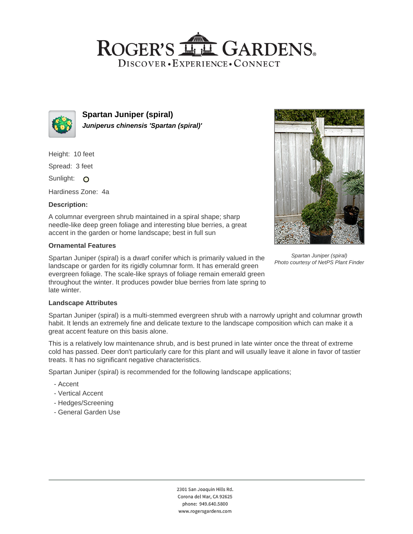# ROGER'S LL GARDENS. DISCOVER · EXPERIENCE · CONNECT



**Spartan Juniper (spiral) Juniperus chinensis 'Spartan (spiral)'**

Height: 10 feet

Spread: 3 feet

Sunlight: O

Hardiness Zone: 4a

### **Description:**

A columnar evergreen shrub maintained in a spiral shape; sharp needle-like deep green foliage and interesting blue berries, a great accent in the garden or home landscape; best in full sun

#### **Ornamental Features**

Spartan Juniper (spiral) is a dwarf conifer which is primarily valued in the landscape or garden for its rigidly columnar form. It has emerald green evergreen foliage. The scale-like sprays of foliage remain emerald green throughout the winter. It produces powder blue berries from late spring to late winter.



Spartan Juniper (spiral) Photo courtesy of NetPS Plant Finder

#### **Landscape Attributes**

Spartan Juniper (spiral) is a multi-stemmed evergreen shrub with a narrowly upright and columnar growth habit. It lends an extremely fine and delicate texture to the landscape composition which can make it a great accent feature on this basis alone.

This is a relatively low maintenance shrub, and is best pruned in late winter once the threat of extreme cold has passed. Deer don't particularly care for this plant and will usually leave it alone in favor of tastier treats. It has no significant negative characteristics.

Spartan Juniper (spiral) is recommended for the following landscape applications;

- Accent
- Vertical Accent
- Hedges/Screening
- General Garden Use